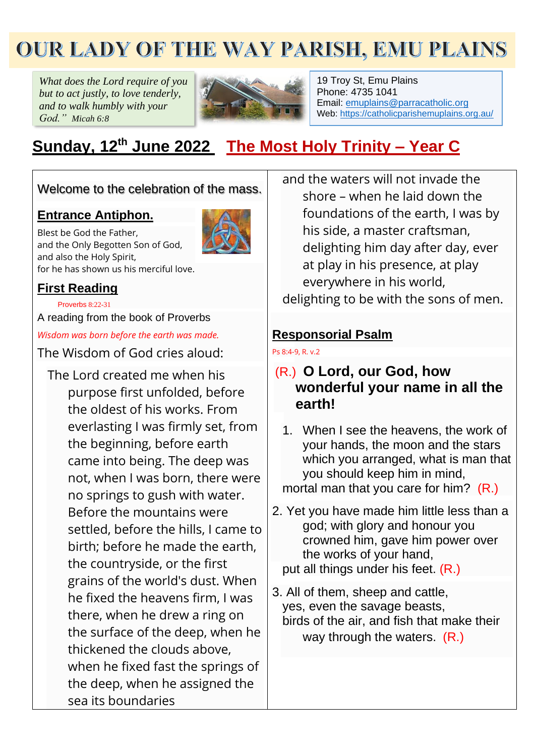# **OUR LADY OF THE WAY PARISH, EMU PLAINS**

*What does the Lord require of you but to act justly, to love tenderly, and to walk humbly with your God." Micah 6:8*



19 Troy St, Emu Plains Phone: 4735 1041 Email: [emuplains@parracatholic.org](mailto:emuplains@parracatholic.org) Web:<https://catholicparishemuplains.org.au/>

# **Sunday, 12th June 2022 The Most Holy Trinity – Year C**

Welcome to the celebration of the mass.

# **Entrance Antiphon.**

Blest be God the Father, and the Only Begotten Son of God, and also the Holy Spirit, for he has shown us his merciful love.



# **First Reading**

[Proverbs](https://liturgyhelp.com/ritual/lectionary/LectionaryList%7Cact#act015) 8:22-31

A reading from the book of Proverbs

*Wisdom was born before the earth was made.*

The Wisdom of God cries aloud:

The Lord created me when his purpose first unfolded, before the oldest of his works. From everlasting I was firmly set, from the beginning, before earth came into being. The deep was not, when I was born, there were no springs to gush with water. Before the mountains were settled, before the hills, I came to birth; before he made the earth, the countryside, or the first grains of the world's dust. When he fixed the heavens firm, I was there, when he drew a ring on the surface of the deep, when he thickened the clouds above, when he fixed fast the springs of the deep, when he assigned the sea its boundaries

and the waters will not invade the shore – when he laid down the foundations of the earth, I was by his side, a master craftsman, delighting him day after day, ever at play in his presence, at play everywhere in his world, delighting to be with the sons of men.

# **Responsorial Psalm**

### [Ps 8:4-9,](https://liturgyhelp.com/ritual/lectionary/LectionaryListPsalm%7Cpsm) R. v.2

# (R.) **O Lord, our God, how wonderful your name in all the earth!**

1. When I see the heavens, the work of your hands, the moon and the stars which you arranged, what is man that you should keep him in mind, mortal man that you care for him? (R.)

2. Yet you have made him little less than a god; with glory and honour you crowned him, gave him power over the works of your hand, put all things under his feet. (R.)

3. All of them, sheep and cattle, yes, even the savage beasts, birds of the air, and fish that make their way through the waters. (R.)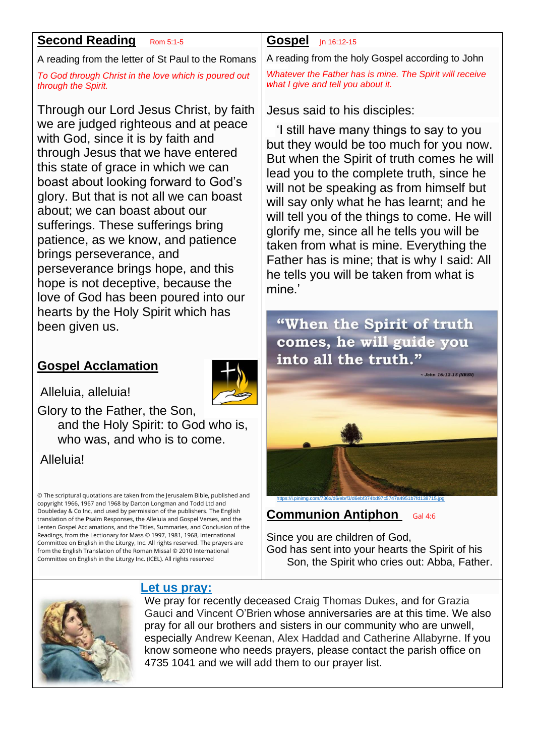## **Second Reading [Rom](https://liturgyhelp.com/ritual/lectionary/LectionaryList%7Cco1#co1012) 5:1-5**

# A reading from the letter of St Paul to the Romans

*To God through Christ in the love which is poured out through the Spirit.*

Through our Lord Jesus Christ, by faith we are judged righteous and at peace with God, since it is by faith and through Jesus that we have entered this state of grace in which we can boast about looking forward to God's glory. But that is not all we can boast about; we can boast about our sufferings. These sufferings bring patience, as we know, and patience brings perseverance, and perseverance brings hope, and this hope is not deceptive, because the love of God has been poured into our hearts by the Holy Spirit which has been given us.

# **Gospel Acclamation**



Alleluia, alleluia!

Glory to the Father, the Son, and the Holy Spirit: to God who is, who was, and who is to come.

Alleluia!

© The scriptural quotations are taken from the Jerusalem Bible, published and copyright 1966, 1967 and 1968 by Darton Longman and Todd Ltd and Doubleday & Co Inc, and used by permission of the publishers. The English translation of the Psalm Responses, the Alleluia and Gospel Verses, and the Lenten Gospel Acclamations, and the Titles, Summaries, and Conclusion of the Readings, from the Lectionary for Mass © 1997, 1981, 1968, International Committee on English in the Liturgy, Inc. All rights reserved. The prayers are from the English Translation of the Roman Missal © 2010 International Committee on English in the Liturgy Inc. (ICEL). All rights reserved

## **Gospel** Jn [16:12-15](https://liturgyhelp.com/ritual/lectionary/LectionaryList%7Cjhn#jhn020)

A reading from the holy Gospel according to John

*Whatever the Father has is mine. The Spirit will receive what I give and tell you about it.*

Jesus said to his disciples:

'I still have many things to say to you but they would be too much for you now. But when the Spirit of truth comes he will lead you to the complete truth, since he will not be speaking as from himself but will say only what he has learnt; and he will tell you of the things to come. He will glorify me, since all he tells you will be taken from what is mine. Everything the Father has is mine; that is why I said: All he tells you will be taken from what is mine.'



# **Communion Antiphon** Gal 4:6

Since you are children of God, God has sent into your hearts the Spirit of his Son, the Spirit who cries out: Abba, Father.



## **Let us pray:**

We pray for recently deceased Craig Thomas Dukes, and for Grazia Gauci and Vincent O'Brien whose anniversaries are at this time. We also pray for all our brothers and sisters in our community who are unwell, especially Andrew Keenan, Alex Haddad and Catherine Allabyrne. If you know someone who needs prayers, please contact the parish office on 4735 1041 and we will add them to our prayer list.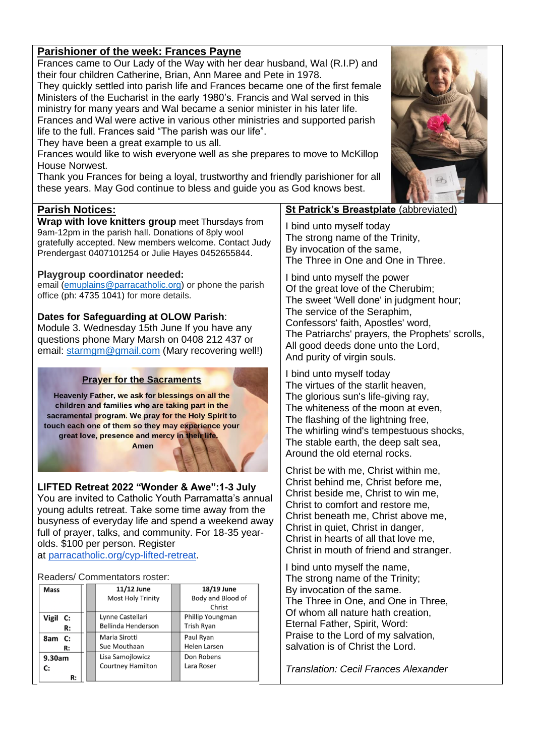### **Parishioner of the week: Frances Payne**

Frances came to Our Lady of the Way with her dear husband, Wal (R.I.P) and their four children Catherine, Brian, Ann Maree and Pete in 1978. They quickly settled into parish life and Frances became one of the first female Ministers of the Eucharist in the early 1980's. Francis and Wal served in this ministry for many years and Wal became a senior minister in his later life. Frances and Wal were active in various other ministries and supported parish

life to the full. Frances said "The parish was our life". They have been a great example to us all.

Frances would like to wish everyone well as she prepares to move to McKillop House Norwest.

Thank you Frances for being a loyal, trustworthy and friendly parishioner for all these years. May God continue to bless and guide you as God knows best.

#### **Parish Notices:**

**Wrap with love knitters group** meet Thursdays from 9am-12pm in the parish hall. Donations of 8ply wool gratefully accepted. New members welcome. Contact Judy Prendergast 0407101254 or Julie Hayes 0452655844.

#### **Playgroup coordinator needed:**

email [\(emuplains@parracatholic.org\)](mailto:emuplains@parracatholic.org) or phone the parish office (ph: 4735 1041) for more details.

#### **Dates for Safeguarding at OLOW Parish**:

Module 3. Wednesday 15th June If you have any questions phone Mary Marsh on 0408 212 437 or email: [starmgm@gmail.com](mailto:starmgm@gmail.com) (Mary recovering well!)

#### **Prayer for the Sacraments**

Heavenly Father, we ask for blessings on all the children and families who are taking part in the sacramental program. We pray for the Holy Spirit to touch each one of them so they may experience your great love, presence and mercy in their life.

Amen

#### **LIFTED Retreat 2022 "Wonder & Awe":1-3 July**

You are invited to Catholic Youth Parramatta's annual young adults retreat. Take some time away from the busyness of everyday life and spend a weekend away full of prayer, talks, and community. For 18-35 yearolds. \$100 per person. Register at [parracatholic.org/cyp-lifted-retreat.](http://parracatholic.org/cyp-lifted-retreat)

#### Readers/ Commentators roster:

| <b>Mass</b> | 11/12 June<br><b>Most Holy Trinity</b> | 18/19 June<br>Body and Blood of |
|-------------|----------------------------------------|---------------------------------|
|             |                                        | Christ                          |
| Vigil<br>C: | Lynne Castellari                       | Phillip Youngman                |
| R:          | <b>Bellinda Henderson</b>              | Trish Ryan                      |
| 8am C:      | Maria Sirotti                          | Paul Ryan                       |
| R:          | Sue Mouthaan                           | <b>Helen Larsen</b>             |
| 9.30am      | Lisa Samojlowicz                       | Don Robens                      |
| C:          | <b>Courtney Hamilton</b>               | Lara Roser                      |
| R:          |                                        |                                 |

#### **St Patrick's Breastplate** (abbreviated)

I bind unto myself today The strong name of the Trinity, By invocation of the same, The Three in One and One in Three.

I bind unto myself the power Of the great love of the Cherubim; The sweet 'Well done' in judgment hour; The service of the Seraphim, Confessors' faith, Apostles' word, The Patriarchs' prayers, the Prophets' scrolls, All good deeds done unto the Lord, And purity of virgin souls.

I bind unto myself today The virtues of the starlit heaven, The glorious sun's life-giving ray, The whiteness of the moon at even, The flashing of the lightning free, The whirling wind's tempestuous shocks, The stable earth, the deep salt sea, Around the old eternal rocks.

Christ be with me, Christ within me, Christ behind me, Christ before me, Christ beside me, Christ to win me, Christ to comfort and restore me, Christ beneath me, Christ above me, Christ in quiet, Christ in danger, Christ in hearts of all that love me, Christ in mouth of friend and stranger.

I bind unto myself the name, The strong name of the Trinity; By invocation of the same. The Three in One, and One in Three, Of whom all nature hath creation, Eternal Father, Spirit, Word: Praise to the Lord of my salvation, salvation is of Christ the Lord.

*Translation: Cecil Frances Alexander*